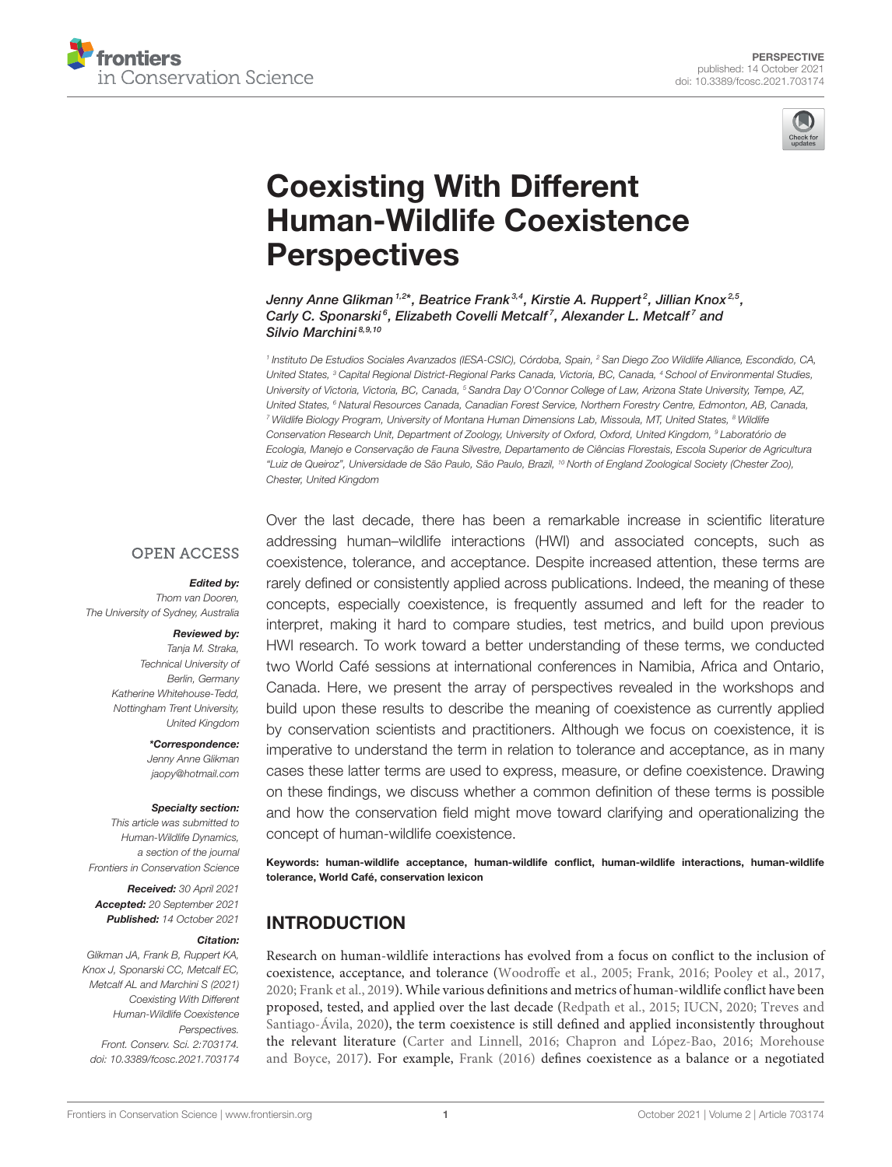



# Coexisting With Different [Human-Wildlife Coexistence](https://www.frontiersin.org/articles/10.3389/fcosc.2021.703174/full) **Perspectives**

Jenny Anne Glikman 1,2\*, Beatrice Frank 3,4, Kirstie A. Ruppert <sup>2</sup>, Jillian Knox <sup>2,5</sup>, Carly C. Sponarski<sup>6</sup>, Elizabeth Covelli Metcalf<sup>7</sup>, Alexander L. Metcalf<sup>7</sup> and Silvio Marchini 8,9,10

1 Instituto De Estudios Sociales Avanzados (IESA-CSIC), Córdoba, Spain, <sup>2</sup> San Diego Zoo Wildlife Alliance, Escondido, CA, United States, <sup>3</sup> Capital Regional District-Regional Parks Canada, Victoria, BC, Canada, <sup>4</sup> School of Environmental Studies, University of Victoria, Victoria, BC, Canada, <sup>5</sup> Sandra Day O'Connor College of Law, Arizona State University, Tempe, AZ, United States, <sup>6</sup> Natural Resources Canada, Canadian Forest Service, Northern Forestry Centre, Edmonton, AB, Canada, <sup>7</sup> Wildlife Biology Program, University of Montana Human Dimensions Lab, Missoula, MT, United States, <sup>8</sup> Wildlife Conservation Research Unit, Department of Zoology, University of Oxford, Oxford, United Kingdom, <sup>9</sup> Laboratório de Ecologia, Manejo e Conservação de Fauna Silvestre, Departamento de Ciências Florestais, Escola Superior de Agricultura "Luiz de Queiroz", Universidade de São Paulo, São Paulo, Brazil, <sup>10</sup> North of England Zoological Society (Chester Zoo), Chester, United Kingdom

#### **OPEN ACCESS**

#### Edited by:

Thom van Dooren, The University of Sydney, Australia

#### Reviewed by:

Tanja M. Straka, Technical University of Berlin, Germany Katherine Whitehouse-Tedd, Nottingham Trent University, United Kingdom

> \*Correspondence: Jenny Anne Glikman [jaopy@hotmail.com](mailto:jaopy@hotmail.com)

#### Specialty section:

This article was submitted to Human-Wildlife Dynamics, a section of the journal Frontiers in Conservation Science

Received: 30 April 2021 Accepted: 20 September 2021 Published: 14 October 2021

#### Citation:

Glikman JA, Frank B, Ruppert KA, Knox J, Sponarski CC, Metcalf EC, Metcalf AL and Marchini S (2021) Coexisting With Different Human-Wildlife Coexistence Perspectives. Front. Conserv. Sci. 2:703174. doi: [10.3389/fcosc.2021.703174](https://doi.org/10.3389/fcosc.2021.703174) Over the last decade, there has been a remarkable increase in scientific literature addressing human–wildlife interactions (HWI) and associated concepts, such as coexistence, tolerance, and acceptance. Despite increased attention, these terms are rarely defined or consistently applied across publications. Indeed, the meaning of these concepts, especially coexistence, is frequently assumed and left for the reader to interpret, making it hard to compare studies, test metrics, and build upon previous HWI research. To work toward a better understanding of these terms, we conducted two World Café sessions at international conferences in Namibia, Africa and Ontario, Canada. Here, we present the array of perspectives revealed in the workshops and build upon these results to describe the meaning of coexistence as currently applied by conservation scientists and practitioners. Although we focus on coexistence, it is imperative to understand the term in relation to tolerance and acceptance, as in many cases these latter terms are used to express, measure, or define coexistence. Drawing on these findings, we discuss whether a common definition of these terms is possible and how the conservation field might move toward clarifying and operationalizing the concept of human-wildlife coexistence.

Keywords: human-wildlife acceptance, human-wildlife conflict, human-wildlife interactions, human-wildlife tolerance, World Café, conservation lexicon

# INTRODUCTION

Research on human-wildlife interactions has evolved from a focus on conflict to the inclusion of coexistence, acceptance, and tolerance [\(Woodroffe et al., 2005;](#page-5-0) [Frank, 2016;](#page-4-0) [Pooley et al., 2017,](#page-5-1) [2020;](#page-5-2) [Frank et al., 2019\)](#page-4-1). While various definitions and metrics of human-wildlife conflict have been proposed, tested, and applied over the last decade [\(Redpath et al., 2015;](#page-5-3) [IUCN, 2020;](#page-4-2) Treves and Santiago-Ávila, [2020\)](#page-5-4), the term coexistence is still defined and applied inconsistently throughout the relevant literature [\(Carter and Linnell, 2016;](#page-4-3) [Chapron and López-Bao, 2016;](#page-4-4) Morehouse and Boyce, [2017\)](#page-5-5). For example, [Frank \(2016\)](#page-4-0) defines coexistence as a balance or a negotiated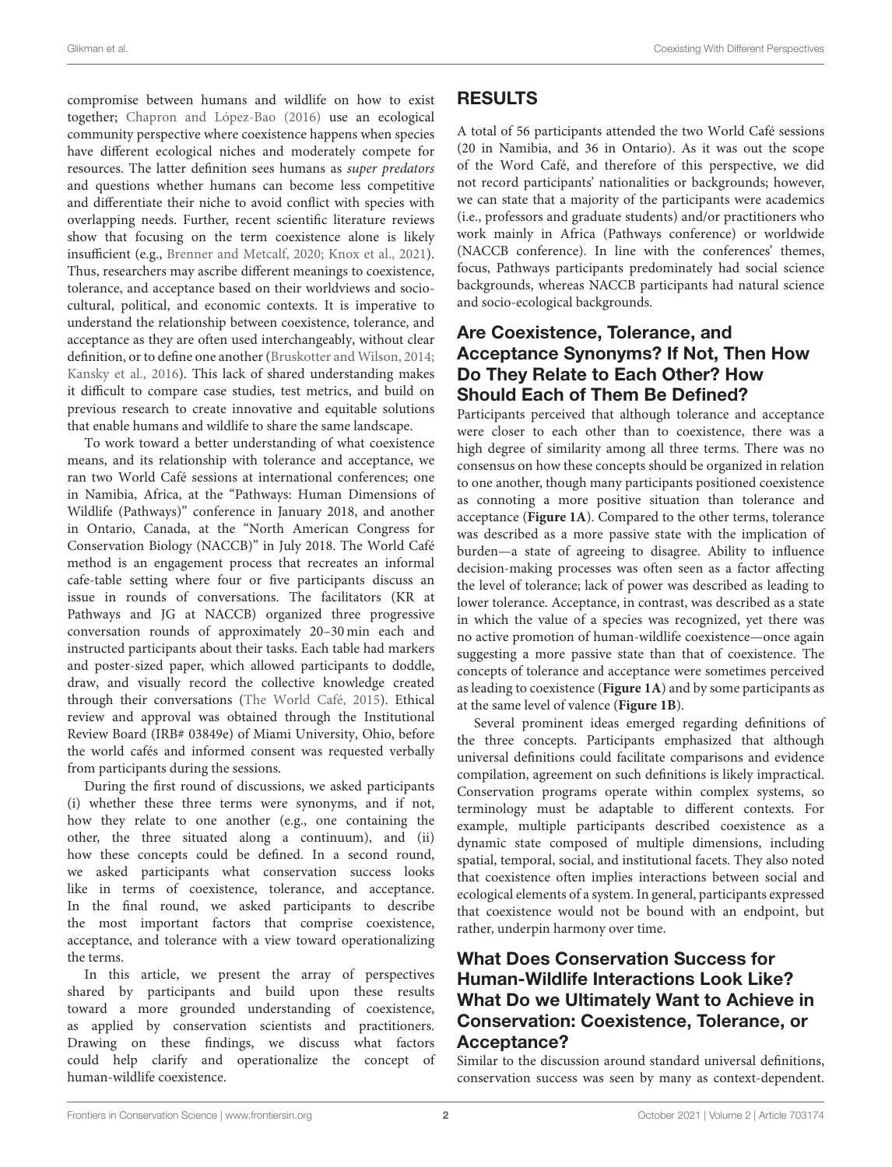compromise between humans and wildlife on how to exist together; [Chapron and López-Bao \(2016\)](#page-4-4) use an ecological community perspective where coexistence happens when species have different ecological niches and moderately compete for resources. The latter definition sees humans as super predators and questions whether humans can become less competitive and differentiate their niche to avoid conflict with species with overlapping needs. Further, recent scientific literature reviews show that focusing on the term coexistence alone is likely insufficient (e.g., [Brenner and Metcalf, 2020;](#page-4-5) [Knox et al., 2021\)](#page-4-6). Thus, researchers may ascribe different meanings to coexistence, tolerance, and acceptance based on their worldviews and sociocultural, political, and economic contexts. It is imperative to understand the relationship between coexistence, tolerance, and acceptance as they are often used interchangeably, without clear definition, or to define one another [\(Bruskotter and Wilson, 2014;](#page-4-7) [Kansky et al., 2016\)](#page-4-8). This lack of shared understanding makes it difficult to compare case studies, test metrics, and build on previous research to create innovative and equitable solutions that enable humans and wildlife to share the same landscape.

To work toward a better understanding of what coexistence means, and its relationship with tolerance and acceptance, we ran two World Café sessions at international conferences; one in Namibia, Africa, at the "Pathways: Human Dimensions of Wildlife (Pathways)" conference in January 2018, and another in Ontario, Canada, at the "North American Congress for Conservation Biology (NACCB)" in July 2018. The World Café method is an engagement process that recreates an informal cafe-table setting where four or five participants discuss an issue in rounds of conversations. The facilitators (KR at Pathways and JG at NACCB) organized three progressive conversation rounds of approximately 20–30 min each and instructed participants about their tasks. Each table had markers and poster-sized paper, which allowed participants to doddle, draw, and visually record the collective knowledge created through their conversations [\(The World Café, 2015\)](#page-5-6). Ethical review and approval was obtained through the Institutional Review Board (IRB# 03849e) of Miami University, Ohio, before the world cafés and informed consent was requested verbally from participants during the sessions.

During the first round of discussions, we asked participants (i) whether these three terms were synonyms, and if not, how they relate to one another (e.g., one containing the other, the three situated along a continuum), and (ii) how these concepts could be defined. In a second round, we asked participants what conservation success looks like in terms of coexistence, tolerance, and acceptance. In the final round, we asked participants to describe the most important factors that comprise coexistence, acceptance, and tolerance with a view toward operationalizing the terms.

In this article, we present the array of perspectives shared by participants and build upon these results toward a more grounded understanding of coexistence, as applied by conservation scientists and practitioners. Drawing on these findings, we discuss what factors could help clarify and operationalize the concept of human-wildlife coexistence.

# RESULTS

A total of 56 participants attended the two World Café sessions (20 in Namibia, and 36 in Ontario). As it was out the scope of the Word Café, and therefore of this perspective, we did not record participants' nationalities or backgrounds; however, we can state that a majority of the participants were academics (i.e., professors and graduate students) and/or practitioners who work mainly in Africa (Pathways conference) or worldwide (NACCB conference). In line with the conferences' themes, focus, Pathways participants predominately had social science backgrounds, whereas NACCB participants had natural science and socio-ecological backgrounds.

#### Are Coexistence, Tolerance, and Acceptance Synonyms? If Not, Then How Do They Relate to Each Other? How Should Each of Them Be Defined?

Participants perceived that although tolerance and acceptance were closer to each other than to coexistence, there was a high degree of similarity among all three terms. There was no consensus on how these concepts should be organized in relation to one another, though many participants positioned coexistence as connoting a more positive situation than tolerance and acceptance (**[Figure 1A](#page-2-0)**). Compared to the other terms, tolerance was described as a more passive state with the implication of burden—a state of agreeing to disagree. Ability to influence decision-making processes was often seen as a factor affecting the level of tolerance; lack of power was described as leading to lower tolerance. Acceptance, in contrast, was described as a state in which the value of a species was recognized, yet there was no active promotion of human-wildlife coexistence—once again suggesting a more passive state than that of coexistence. The concepts of tolerance and acceptance were sometimes perceived as leading to coexistence (**[Figure 1A](#page-2-0)**) and by some participants as at the same level of valence (**[Figure 1B](#page-2-0)**).

Several prominent ideas emerged regarding definitions of the three concepts. Participants emphasized that although universal definitions could facilitate comparisons and evidence compilation, agreement on such definitions is likely impractical. Conservation programs operate within complex systems, so terminology must be adaptable to different contexts. For example, multiple participants described coexistence as a dynamic state composed of multiple dimensions, including spatial, temporal, social, and institutional facets. They also noted that coexistence often implies interactions between social and ecological elements of a system. In general, participants expressed that coexistence would not be bound with an endpoint, but rather, underpin harmony over time.

## What Does Conservation Success for Human-Wildlife Interactions Look Like? What Do we Ultimately Want to Achieve in Conservation: Coexistence, Tolerance, or Acceptance?

Similar to the discussion around standard universal definitions, conservation success was seen by many as context-dependent.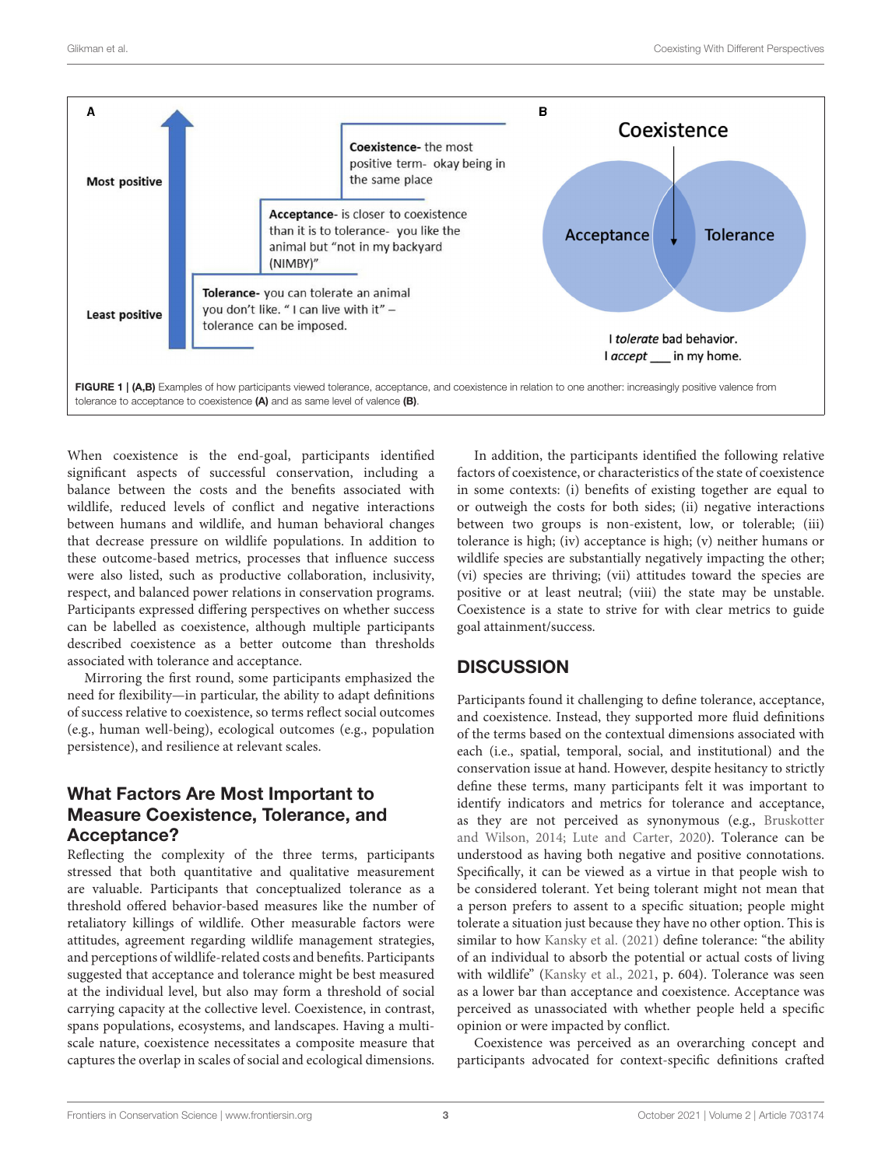

<span id="page-2-0"></span>When coexistence is the end-goal, participants identified significant aspects of successful conservation, including a balance between the costs and the benefits associated with wildlife, reduced levels of conflict and negative interactions between humans and wildlife, and human behavioral changes that decrease pressure on wildlife populations. In addition to these outcome-based metrics, processes that influence success were also listed, such as productive collaboration, inclusivity, respect, and balanced power relations in conservation programs. Participants expressed differing perspectives on whether success can be labelled as coexistence, although multiple participants described coexistence as a better outcome than thresholds associated with tolerance and acceptance.

Mirroring the first round, some participants emphasized the need for flexibility—in particular, the ability to adapt definitions of success relative to coexistence, so terms reflect social outcomes (e.g., human well-being), ecological outcomes (e.g., population persistence), and resilience at relevant scales.

### What Factors Are Most Important to Measure Coexistence, Tolerance, and Acceptance?

Reflecting the complexity of the three terms, participants stressed that both quantitative and qualitative measurement are valuable. Participants that conceptualized tolerance as a threshold offered behavior-based measures like the number of retaliatory killings of wildlife. Other measurable factors were attitudes, agreement regarding wildlife management strategies, and perceptions of wildlife-related costs and benefits. Participants suggested that acceptance and tolerance might be best measured at the individual level, but also may form a threshold of social carrying capacity at the collective level. Coexistence, in contrast, spans populations, ecosystems, and landscapes. Having a multiscale nature, coexistence necessitates a composite measure that captures the overlap in scales of social and ecological dimensions.

In addition, the participants identified the following relative factors of coexistence, or characteristics of the state of coexistence in some contexts: (i) benefits of existing together are equal to or outweigh the costs for both sides; (ii) negative interactions between two groups is non-existent, low, or tolerable; (iii) tolerance is high; (iv) acceptance is high; (v) neither humans or wildlife species are substantially negatively impacting the other; (vi) species are thriving; (vii) attitudes toward the species are positive or at least neutral; (viii) the state may be unstable. Coexistence is a state to strive for with clear metrics to guide goal attainment/success.

#### **DISCUSSION**

Participants found it challenging to define tolerance, acceptance, and coexistence. Instead, they supported more fluid definitions of the terms based on the contextual dimensions associated with each (i.e., spatial, temporal, social, and institutional) and the conservation issue at hand. However, despite hesitancy to strictly define these terms, many participants felt it was important to identify indicators and metrics for tolerance and acceptance, as they are not perceived as synonymous (e.g., Bruskotter and Wilson, [2014;](#page-4-7) [Lute and Carter, 2020\)](#page-5-7). Tolerance can be understood as having both negative and positive connotations. Specifically, it can be viewed as a virtue in that people wish to be considered tolerant. Yet being tolerant might not mean that a person prefers to assent to a specific situation; people might tolerate a situation just because they have no other option. This is similar to how [Kansky et al. \(2021\)](#page-4-9) define tolerance: "the ability of an individual to absorb the potential or actual costs of living with wildlife" [\(Kansky et al., 2021,](#page-4-9) p. 604). Tolerance was seen as a lower bar than acceptance and coexistence. Acceptance was perceived as unassociated with whether people held a specific opinion or were impacted by conflict.

Coexistence was perceived as an overarching concept and participants advocated for context-specific definitions crafted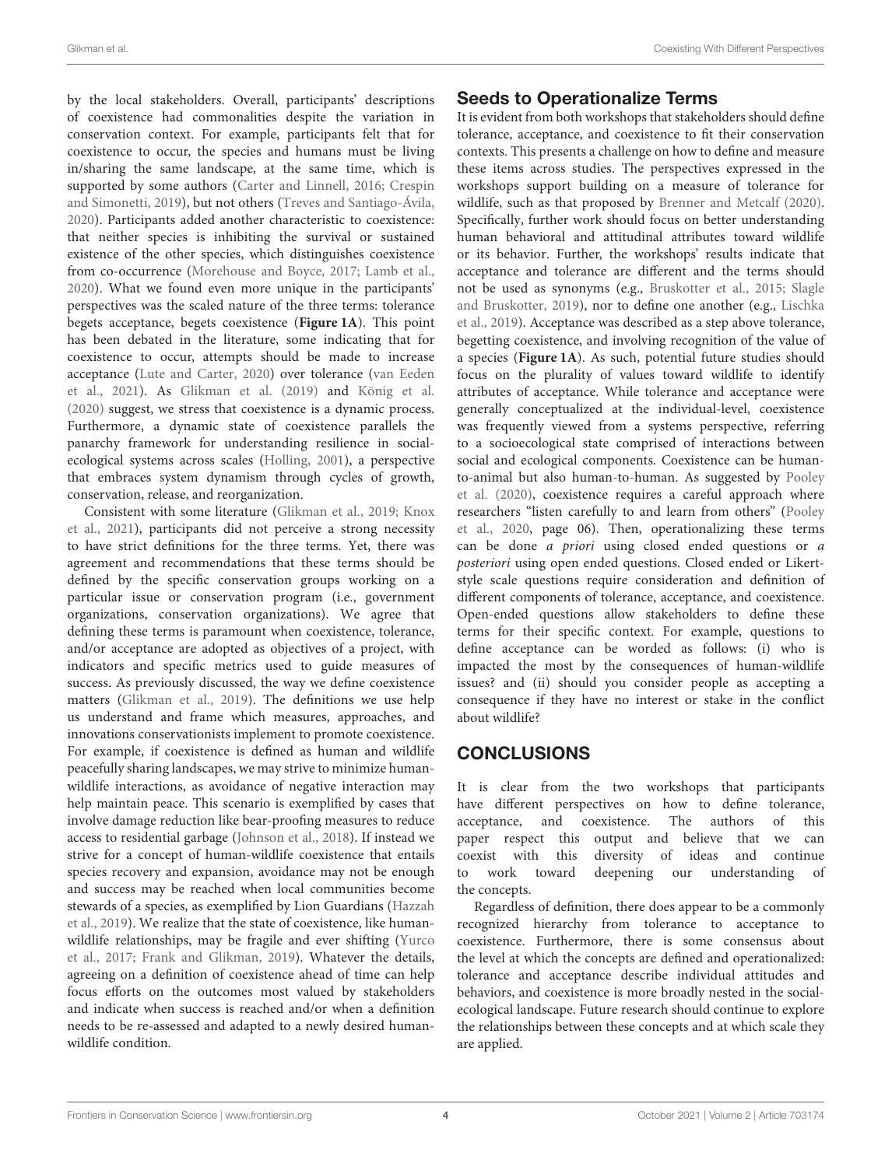by the local stakeholders. Overall, participants' descriptions of coexistence had commonalities despite the variation in conservation context. For example, participants felt that for coexistence to occur, the species and humans must be living in/sharing the same landscape, at the same time, which is supported by some authors [\(Carter and Linnell, 2016;](#page-4-3) Crespin and Simonetti, [2019\)](#page-4-10), but not others [\(Treves and Santiago-Ávila,](#page-5-4) [2020\)](#page-5-4). Participants added another characteristic to coexistence: that neither species is inhibiting the survival or sustained existence of the other species, which distinguishes coexistence from co-occurrence [\(Morehouse and Boyce, 2017;](#page-5-5) [Lamb et al.,](#page-5-8) [2020\)](#page-5-8). What we found even more unique in the participants' perspectives was the scaled nature of the three terms: tolerance begets acceptance, begets coexistence (**[Figure 1A](#page-2-0)**). This point has been debated in the literature, some indicating that for coexistence to occur, attempts should be made to increase acceptance [\(Lute and Carter, 2020\)](#page-5-7) over tolerance (van Eeden et al., [2021\)](#page-5-9). As [Glikman et al. \(2019\)](#page-4-11) and [König et al.](#page-4-12) [\(2020\)](#page-4-12) suggest, we stress that coexistence is a dynamic process. Furthermore, a dynamic state of coexistence parallels the panarchy framework for understanding resilience in socialecological systems across scales [\(Holling, 2001\)](#page-4-13), a perspective that embraces system dynamism through cycles of growth, conservation, release, and reorganization.

Consistent with some literature [\(Glikman et al., 2019;](#page-4-11) Knox et al., [2021\)](#page-4-6), participants did not perceive a strong necessity to have strict definitions for the three terms. Yet, there was agreement and recommendations that these terms should be defined by the specific conservation groups working on a particular issue or conservation program (i.e., government organizations, conservation organizations). We agree that defining these terms is paramount when coexistence, tolerance, and/or acceptance are adopted as objectives of a project, with indicators and specific metrics used to guide measures of success. As previously discussed, the way we define coexistence matters [\(Glikman et al., 2019\)](#page-4-11). The definitions we use help us understand and frame which measures, approaches, and innovations conservationists implement to promote coexistence. For example, if coexistence is defined as human and wildlife peacefully sharing landscapes, we may strive to minimize humanwildlife interactions, as avoidance of negative interaction may help maintain peace. This scenario is exemplified by cases that involve damage reduction like bear-proofing measures to reduce access to residential garbage [\(Johnson et al., 2018\)](#page-4-14). If instead we strive for a concept of human-wildlife coexistence that entails species recovery and expansion, avoidance may not be enough and success may be reached when local communities become stewards of a species, as exemplified by Lion Guardians (Hazzah et al., [2019\)](#page-4-15). We realize that the state of coexistence, like humanwildlife relationships, may be fragile and ever shifting (Yurco et al., [2017;](#page-5-10) [Frank and Glikman, 2019\)](#page-4-16). Whatever the details, agreeing on a definition of coexistence ahead of time can help focus efforts on the outcomes most valued by stakeholders and indicate when success is reached and/or when a definition needs to be re-assessed and adapted to a newly desired humanwildlife condition.

### Seeds to Operationalize Terms

It is evident from both workshops that stakeholders should define tolerance, acceptance, and coexistence to fit their conservation contexts. This presents a challenge on how to define and measure these items across studies. The perspectives expressed in the workshops support building on a measure of tolerance for wildlife, such as that proposed by [Brenner and Metcalf \(2020\)](#page-4-5). Specifically, further work should focus on better understanding human behavioral and attitudinal attributes toward wildlife or its behavior. Further, the workshops' results indicate that acceptance and tolerance are different and the terms should not be used as synonyms (e.g., [Bruskotter et al., 2015;](#page-4-17) Slagle and Bruskotter, [2019\)](#page-5-11), nor to define one another (e.g., Lischka et al., [2019\)](#page-5-12). Acceptance was described as a step above tolerance, begetting coexistence, and involving recognition of the value of a species (**[Figure 1A](#page-2-0)**). As such, potential future studies should focus on the plurality of values toward wildlife to identify attributes of acceptance. While tolerance and acceptance were generally conceptualized at the individual-level, coexistence was frequently viewed from a systems perspective, referring to a socioecological state comprised of interactions between social and ecological components. Coexistence can be humanto-animal but also human-to-human. As suggested by Pooley et al. [\(2020\)](#page-5-2), coexistence requires a careful approach where researchers "listen carefully to and learn from others" (Pooley et al., [2020,](#page-5-2) page 06). Then, operationalizing these terms can be done a priori using closed ended questions or a posteriori using open ended questions. Closed ended or Likertstyle scale questions require consideration and definition of different components of tolerance, acceptance, and coexistence. Open-ended questions allow stakeholders to define these terms for their specific context. For example, questions to define acceptance can be worded as follows: (i) who is impacted the most by the consequences of human-wildlife issues? and (ii) should you consider people as accepting a consequence if they have no interest or stake in the conflict about wildlife?

# **CONCLUSIONS**

It is clear from the two workshops that participants have different perspectives on how to define tolerance, acceptance, and coexistence. The authors of this paper respect this output and believe that we can coexist with this diversity of ideas and continue to work toward deepening our understanding of the concepts.

Regardless of definition, there does appear to be a commonly recognized hierarchy from tolerance to acceptance to coexistence. Furthermore, there is some consensus about the level at which the concepts are defined and operationalized: tolerance and acceptance describe individual attitudes and behaviors, and coexistence is more broadly nested in the socialecological landscape. Future research should continue to explore the relationships between these concepts and at which scale they are applied.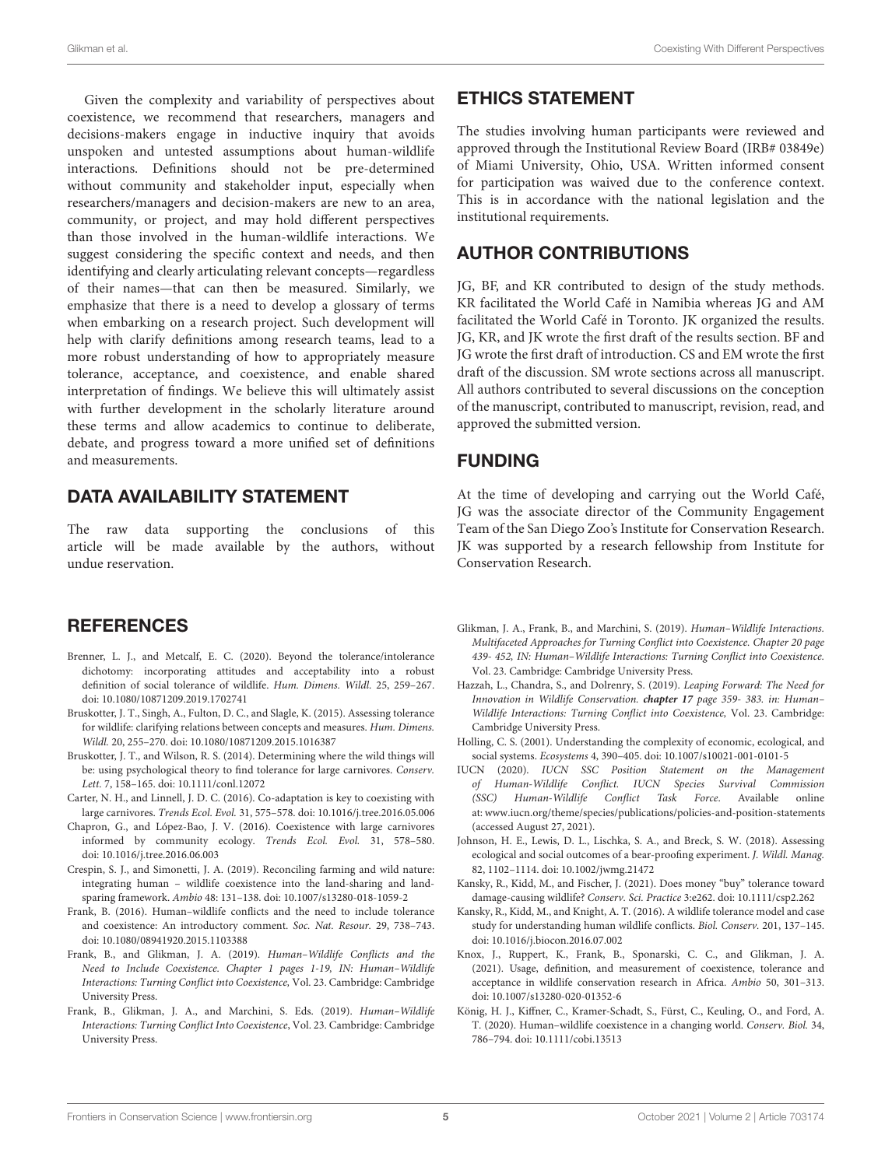Given the complexity and variability of perspectives about coexistence, we recommend that researchers, managers and decisions-makers engage in inductive inquiry that avoids unspoken and untested assumptions about human-wildlife interactions. Definitions should not be pre-determined without community and stakeholder input, especially when researchers/managers and decision-makers are new to an area, community, or project, and may hold different perspectives than those involved in the human-wildlife interactions. We suggest considering the specific context and needs, and then identifying and clearly articulating relevant concepts—regardless of their names—that can then be measured. Similarly, we emphasize that there is a need to develop a glossary of terms when embarking on a research project. Such development will help with clarify definitions among research teams, lead to a more robust understanding of how to appropriately measure tolerance, acceptance, and coexistence, and enable shared interpretation of findings. We believe this will ultimately assist with further development in the scholarly literature around these terms and allow academics to continue to deliberate, debate, and progress toward a more unified set of definitions and measurements.

#### DATA AVAILABILITY STATEMENT

The raw data supporting the conclusions of this article will be made available by the authors, without undue reservation.

#### **REFERENCES**

- <span id="page-4-5"></span>Brenner, L. J., and Metcalf, E. C. (2020). Beyond the tolerance/intolerance dichotomy: incorporating attitudes and acceptability into a robust definition of social tolerance of wildlife. Hum. Dimens. Wildl. 25, 259–267. doi: [10.1080/10871209.2019.1702741](https://doi.org/10.1080/10871209.2019.1702741)
- <span id="page-4-17"></span>Bruskotter, J. T., Singh, A., Fulton, D. C., and Slagle, K. (2015). Assessing tolerance for wildlife: clarifying relations between concepts and measures. Hum. Dimens. Wildl. 20, 255–270. doi: [10.1080/10871209.2015.1016387](https://doi.org/10.1080/10871209.2015.1016387)
- <span id="page-4-7"></span>Bruskotter, J. T., and Wilson, R. S. (2014). Determining where the wild things will be: using psychological theory to find tolerance for large carnivores. Conserv. Lett. 7, 158–165. doi: [10.1111/conl.12072](https://doi.org/10.1111/conl.12072)
- <span id="page-4-3"></span>Carter, N. H., and Linnell, J. D. C. (2016). Co-adaptation is key to coexisting with large carnivores. Trends Ecol. Evol. 31, 575–578. doi: [10.1016/j.tree.2016.05.006](https://doi.org/10.1016/j.tree.2016.05.006)
- <span id="page-4-4"></span>Chapron, G., and López-Bao, J. V. (2016). Coexistence with large carnivores informed by community ecology. Trends Ecol. Evol. 31, 578–580. doi: [10.1016/j.tree.2016.06.003](https://doi.org/10.1016/j.tree.2016.06.003)
- <span id="page-4-10"></span>Crespin, S. J., and Simonetti, J. A. (2019). Reconciling farming and wild nature: integrating human – wildlife coexistence into the land-sharing and landsparing framework. Ambio 48: 131–138. doi: [10.1007/s13280-018-1059-2](https://doi.org/10.1007/s13280-018-1059-2)
- <span id="page-4-0"></span>Frank, B. (2016). Human–wildlife conflicts and the need to include tolerance and coexistence: An introductory comment. Soc. Nat. Resour. 29, 738–743. doi: [10.1080/08941920.2015.1103388](https://doi.org/10.1080/08941920.2015.1103388)
- <span id="page-4-16"></span>Frank, B., and Glikman, J. A. (2019). Human–Wildlife Conflicts and the Need to Include Coexistence. Chapter 1 pages 1-19, IN: Human–Wildlife Interactions: Turning Conflict into Coexistence, Vol. 23. Cambridge: Cambridge University Press.
- <span id="page-4-1"></span>Frank, B., Glikman, J. A., and Marchini, S. Eds. (2019). Human–Wildlife Interactions: Turning Conflict Into Coexistence, Vol. 23. Cambridge: Cambridge University Press.

#### ETHICS STATEMENT

The studies involving human participants were reviewed and approved through the Institutional Review Board (IRB# 03849e) of Miami University, Ohio, USA. Written informed consent for participation was waived due to the conference context. This is in accordance with the national legislation and the institutional requirements.

#### AUTHOR CONTRIBUTIONS

JG, BF, and KR contributed to design of the study methods. KR facilitated the World Café in Namibia whereas JG and AM facilitated the World Café in Toronto. JK organized the results. JG, KR, and JK wrote the first draft of the results section. BF and JG wrote the first draft of introduction. CS and EM wrote the first draft of the discussion. SM wrote sections across all manuscript. All authors contributed to several discussions on the conception of the manuscript, contributed to manuscript, revision, read, and approved the submitted version.

### FUNDING

At the time of developing and carrying out the World Café, JG was the associate director of the Community Engagement Team of the San Diego Zoo's Institute for Conservation Research. JK was supported by a research fellowship from Institute for Conservation Research.

- <span id="page-4-11"></span>Glikman, J. A., Frank, B., and Marchini, S. (2019). Human–Wildlife Interactions. Multifaceted Approaches for Turning Conflict into Coexistence. Chapter 20 page 439- 452, IN: Human–Wildlife Interactions: Turning Conflict into Coexistence. Vol. 23. Cambridge: Cambridge University Press.
- <span id="page-4-15"></span>Hazzah, L., Chandra, S., and Dolrenry, S. (2019). Leaping Forward: The Need for Innovation in Wildlife Conservation. **chapter 17** page 359- 383. in: Human– Wildlife Interactions: Turning Conflict into Coexistence, Vol. 23. Cambridge: Cambridge University Press.
- <span id="page-4-13"></span>Holling, C. S. (2001). Understanding the complexity of economic, ecological, and social systems. Ecosystems 4, 390–405. doi: [10.1007/s10021-001-0101-5](https://doi.org/10.1007/s10021-001-0101-5)
- <span id="page-4-2"></span>IUCN (2020). IUCN SSC Position Statement on the Management of Human-Wildlife Conflict. IUCN Species Survival Commission (SSC) Human-Wildlife Conflict Task Force. Available online at: [www.iucn.org/theme/species/publications/policies-and-position-statements](http://www.iucn.org/theme/species/publications/policies-and-position-statements) (accessed August 27, 2021).
- <span id="page-4-14"></span>Johnson, H. E., Lewis, D. L., Lischka, S. A., and Breck, S. W. (2018). Assessing ecological and social outcomes of a bear-proofing experiment. J. Wildl. Manag. 82, 1102–1114. doi: [10.1002/jwmg.21472](https://doi.org/10.1002/jwmg.21472)
- <span id="page-4-9"></span>Kansky, R., Kidd, M., and Fischer, J. (2021). Does money "buy" tolerance toward damage-causing wildlife? Conserv. Sci. Practice 3:e262. doi: [10.1111/csp2.262](https://doi.org/10.1111/csp2.262)
- <span id="page-4-8"></span>Kansky, R., Kidd, M., and Knight, A. T. (2016). A wildlife tolerance model and case study for understanding human wildlife conflicts. Biol. Conserv. 201, 137–145. doi: [10.1016/j.biocon.2016.07.002](https://doi.org/10.1016/j.biocon.2016.07.002)
- <span id="page-4-6"></span>Knox, J., Ruppert, K., Frank, B., Sponarski, C. C., and Glikman, J. A. (2021). Usage, definition, and measurement of coexistence, tolerance and acceptance in wildlife conservation research in Africa. Ambio 50, 301–313. doi: [10.1007/s13280-020-01352-6](https://doi.org/10.1007/s13280-020-01352-6)
- <span id="page-4-12"></span>König, H. J., Kiffner, C., Kramer-Schadt, S., Fürst, C., Keuling, O., and Ford, A. T. (2020). Human–wildlife coexistence in a changing world. Conserv. Biol. 34, 786–794. doi: [10.1111/cobi.13513](https://doi.org/10.1111/cobi.13513)